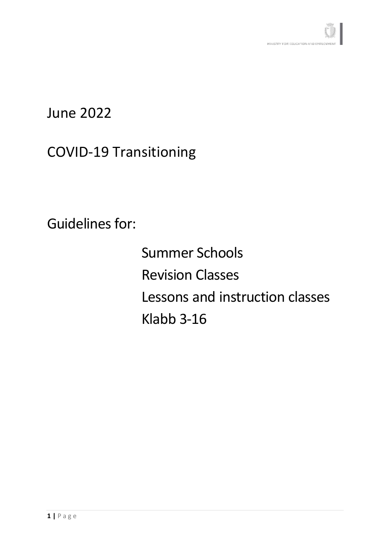# June 2022

# COVID-19 Transitioning

Guidelines for:

Summer Schools Revision Classes Lessons and instruction classes Klabb 3-16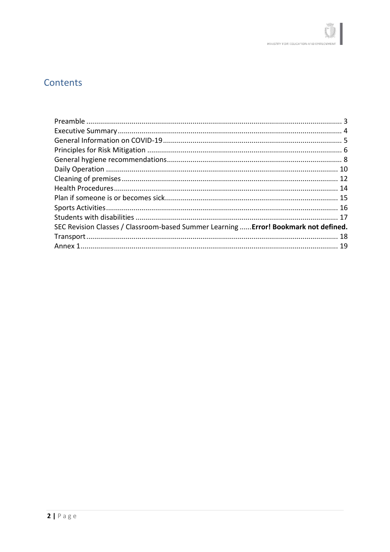# Contents

| SEC Revision Classes / Classroom-based Summer Learning  Error! Bookmark not defined. |  |
|--------------------------------------------------------------------------------------|--|
|                                                                                      |  |
|                                                                                      |  |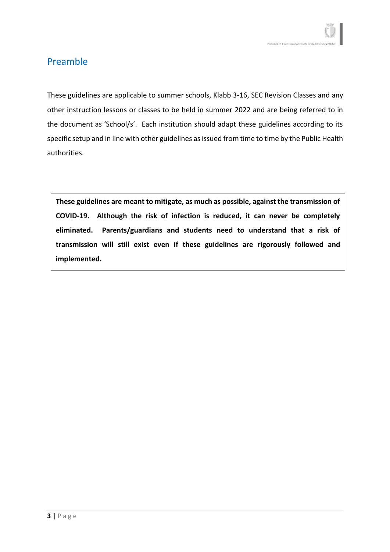### <span id="page-2-0"></span>Preamble

These guidelines are applicable to summer schools, Klabb 3-16, SEC Revision Classes and any other instruction lessons or classes to be held in summer 2022 and are being referred to in the document as 'School/s'. Each institution should adapt these guidelines according to its specific setup and in line with other guidelines as issued from time to time by the Public Health authorities.

**These guidelines are meant to mitigate, as much as possible, against the transmission of COVID-19. Although the risk of infection is reduced, it can never be completely eliminated. Parents/guardians and students need to understand that a risk of transmission will still exist even if these guidelines are rigorously followed and implemented.**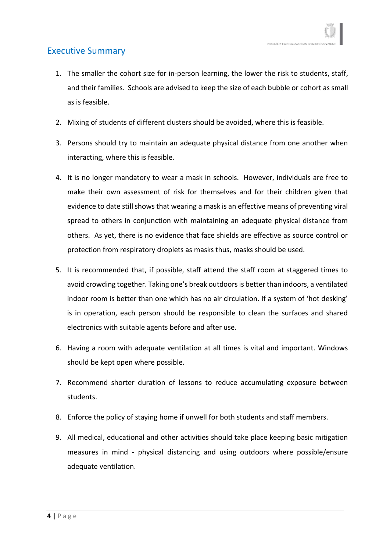#### <span id="page-3-0"></span>Executive Summary

- 1. The smaller the cohort size for in-person learning, the lower the risk to students, staff, and their families. Schools are advised to keep the size of each bubble or cohort as small as is feasible.
- 2. Mixing of students of different clusters should be avoided, where this is feasible.
- 3. Persons should try to maintain an adequate physical distance from one another when interacting, where this is feasible.
- 4. It is no longer mandatory to wear a mask in schools. However, individuals are free to make their own assessment of risk for themselves and for their children given that evidence to date still shows that wearing a mask is an effective means of preventing viral spread to others in conjunction with maintaining an adequate physical distance from others. As yet, there is no evidence that face shields are effective as source control or protection from respiratory droplets as masks thus, masks should be used.
- 5. It is recommended that, if possible, staff attend the staff room at staggered times to avoid crowding together. Taking one's break outdoors is better than indoors, a ventilated indoor room is better than one which has no air circulation. If a system of 'hot desking' is in operation, each person should be responsible to clean the surfaces and shared electronics with suitable agents before and after use.
- 6. Having a room with adequate ventilation at all times is vital and important. Windows should be kept open where possible.
- 7. Recommend shorter duration of lessons to reduce accumulating exposure between students.
- 8. Enforce the policy of staying home if unwell for both students and staff members.
- 9. All medical, educational and other activities should take place keeping basic mitigation measures in mind - physical distancing and using outdoors where possible/ensure adequate ventilation.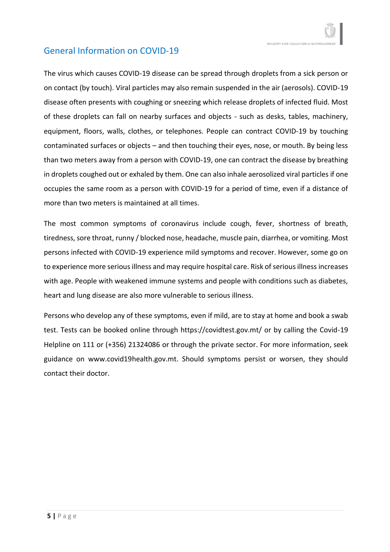### <span id="page-4-0"></span>General Information on COVID-19

The virus which causes COVID-19 disease can be spread through droplets from a sick person or on contact (by touch). Viral particles may also remain suspended in the air (aerosols). COVID-19 disease often presents with coughing or sneezing which release droplets of infected fluid. Most of these droplets can fall on nearby surfaces and objects - such as desks, tables, machinery, equipment, floors, walls, clothes, or telephones. People can contract COVID-19 by touching contaminated surfaces or objects – and then touching their eyes, nose, or mouth. By being less than two meters away from a person with COVID-19, one can contract the disease by breathing in droplets coughed out or exhaled by them. One can also inhale aerosolized viral particles if one occupies the same room as a person with COVID-19 for a period of time, even if a distance of more than two meters is maintained at all times.

The most common symptoms of coronavirus include cough, fever, shortness of breath, tiredness, sore throat, runny / blocked nose, headache, muscle pain, diarrhea, or vomiting. Most persons infected with COVID-19 experience mild symptoms and recover. However, some go on to experience more serious illness and may require hospital care. Risk of serious illness increases with age. People with weakened immune systems and people with conditions such as diabetes, heart and lung disease are also more vulnerable to serious illness.

Persons who develop any of these symptoms, even if mild, are to stay at home and book a swab test. Tests can be booked online through https://covidtest.gov.mt/ or by calling the Covid-19 Helpline on 111 or (+356) 21324086 or through the private sector. For more information, seek guidance on www.covid19health.gov.mt. Should symptoms persist or worsen, they should contact their doctor.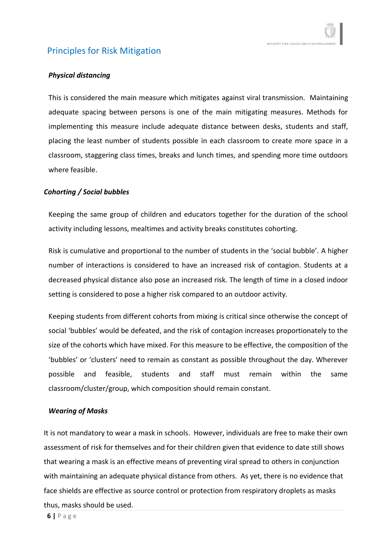### <span id="page-5-0"></span>Principles for Risk Mitigation

#### *Physical distancing*

This is considered the main measure which mitigates against viral transmission. Maintaining adequate spacing between persons is one of the main mitigating measures. Methods for implementing this measure include adequate distance between desks, students and staff, placing the least number of students possible in each classroom to create more space in a classroom, staggering class times, breaks and lunch times, and spending more time outdoors where feasible.

#### *Cohorting / Social bubbles*

Keeping the same group of children and educators together for the duration of the school activity including lessons, mealtimes and activity breaks constitutes cohorting.

Risk is cumulative and proportional to the number of students in the 'social bubble'. A higher number of interactions is considered to have an increased risk of contagion. Students at a decreased physical distance also pose an increased risk. The length of time in a closed indoor setting is considered to pose a higher risk compared to an outdoor activity.

Keeping students from different cohorts from mixing is critical since otherwise the concept of social 'bubbles' would be defeated, and the risk of contagion increases proportionately to the size of the cohorts which have mixed. For this measure to be effective, the composition of the 'bubbles' or 'clusters' need to remain as constant as possible throughout the day. Wherever possible and feasible, students and staff must remain within the same classroom/cluster/group, which composition should remain constant.

#### *Wearing of Masks*

It is not mandatory to wear a mask in schools. However, individuals are free to make their own assessment of risk for themselves and for their children given that evidence to date still shows that wearing a mask is an effective means of preventing viral spread to others in conjunction with maintaining an adequate physical distance from others. As yet, there is no evidence that face shields are effective as source control or protection from respiratory droplets as masks thus, masks should be used.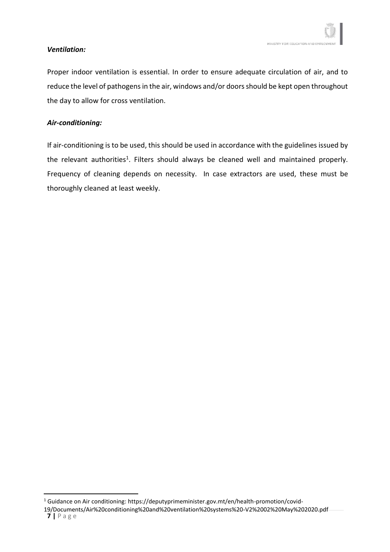#### *Ventilation:*

Proper indoor ventilation is essential. In order to ensure adequate circulation of air, and to reduce the level of pathogens in the air, windows and/or doors should be kept open throughout the day to allow for cross ventilation.

#### *Air-conditioning:*

<span id="page-6-0"></span>If air-conditioning is to be used, this should be used in accordance with the guidelines issued by the relevant authorities<sup>1</sup>. Filters should always be cleaned well and maintained properly. Frequency of cleaning depends on necessity. In case extractors are used, these must be thoroughly cleaned at least weekly.

<sup>1</sup> Guidance on Air conditioning: https://deputyprimeminister.gov.mt/en/health-promotion/covid-

**<sup>7</sup> |** P a g e 19/Documents/Air%20conditioning%20and%20ventilation%20systems%20-V2%2002%20May%202020.pdf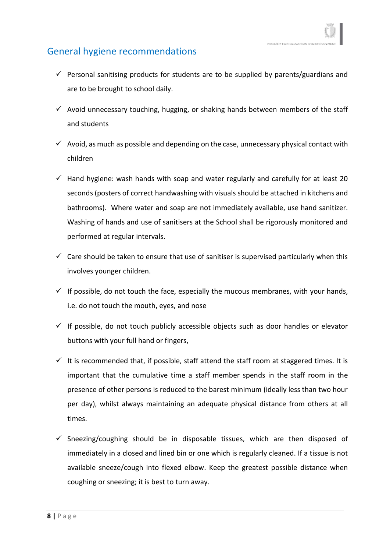### General hygiene recommendations

- $\checkmark$  Personal sanitising products for students are to be supplied by parents/guardians and are to be brought to school daily.
- $\checkmark$  Avoid unnecessary touching, hugging, or shaking hands between members of the staff and students
- $\checkmark$  Avoid, as much as possible and depending on the case, unnecessary physical contact with children
- $\checkmark$  Hand hygiene: wash hands with soap and water regularly and carefully for at least 20 seconds (posters of correct handwashing with visuals should be attached in kitchens and bathrooms). Where water and soap are not immediately available, use hand sanitizer. Washing of hands and use of sanitisers at the School shall be rigorously monitored and performed at regular intervals.
- $\checkmark$  Care should be taken to ensure that use of sanitiser is supervised particularly when this involves younger children.
- $\checkmark$  If possible, do not touch the face, especially the mucous membranes, with your hands, i.e. do not touch the mouth, eyes, and nose
- $\checkmark$  If possible, do not touch publicly accessible objects such as door handles or elevator buttons with your full hand or fingers,
- $\checkmark$  It is recommended that, if possible, staff attend the staff room at staggered times. It is important that the cumulative time a staff member spends in the staff room in the presence of other persons is reduced to the barest minimum (ideally less than two hour per day), whilst always maintaining an adequate physical distance from others at all times.
- $\checkmark$  Sneezing/coughing should be in disposable tissues, which are then disposed of immediately in a closed and lined bin or one which is regularly cleaned. If a tissue is not available sneeze/cough into flexed elbow. Keep the greatest possible distance when coughing or sneezing; it is best to turn away.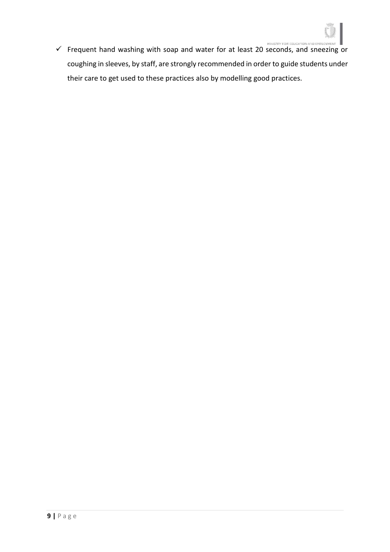

✓ Frequent hand washing with soap and water for at least 20 seconds, and sneezing or coughing in sleeves, by staff, are strongly recommended in order to guide students under their care to get used to these practices also by modelling good practices.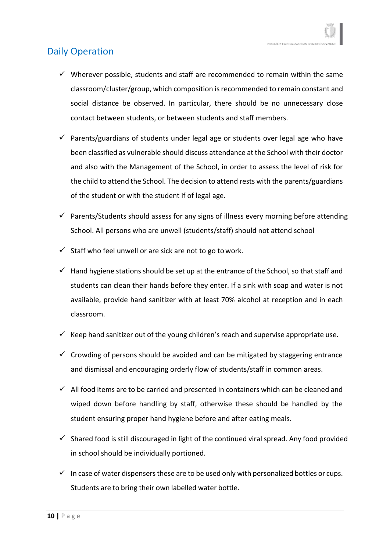# <span id="page-9-0"></span>Daily Operation

- $\checkmark$  Wherever possible, students and staff are recommended to remain within the same classroom/cluster/group, which composition is recommended to remain constant and social distance be observed. In particular, there should be no unnecessary close contact between students, or between students and staff members.
- $\checkmark$  Parents/guardians of students under legal age or students over legal age who have been classified as vulnerable should discuss attendance at the School with their doctor and also with the Management of the School, in order to assess the level of risk for the child to attend the School. The decision to attend rests with the parents/guardians of the student or with the student if of legal age.
- $\checkmark$  Parents/Students should assess for any signs of illness every morning before attending School. All persons who are unwell (students/staff) should not attend school
- $\checkmark$  Staff who feel unwell or are sick are not to go to work.
- $\checkmark$  Hand hygiene stations should be set up at the entrance of the School, so that staff and students can clean their hands before they enter. If a sink with soap and water is not available, provide hand sanitizer with at least 70% alcohol at reception and in each classroom.
- $\checkmark$  Keep hand sanitizer out of the young children's reach and supervise appropriate use.
- $\checkmark$  Crowding of persons should be avoided and can be mitigated by staggering entrance and dismissal and encouraging orderly flow of students/staff in common areas.
- $\checkmark$  All food items are to be carried and presented in containers which can be cleaned and wiped down before handling by staff, otherwise these should be handled by the student ensuring proper hand hygiene before and after eating meals.
- $\checkmark$  Shared food is still discouraged in light of the continued viral spread. Any food provided in school should be individually portioned.
- $\checkmark$  In case of water dispensers these are to be used only with personalized bottles or cups. Students are to bring their own labelled water bottle.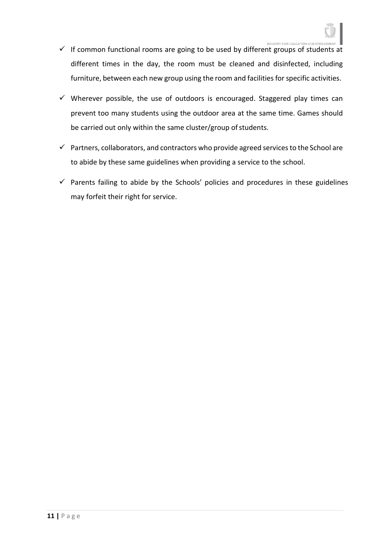- $\checkmark$  If common functional rooms are going to be used by different groups of students at different times in the day, the room must be cleaned and disinfected, including furniture, between each new group using the room and facilities for specific activities.
- $\checkmark$  Wherever possible, the use of outdoors is encouraged. Staggered play times can prevent too many students using the outdoor area at the same time. Games should be carried out only within the same cluster/group of students.
- $\checkmark$  Partners, collaborators, and contractors who provide agreed services to the School are to abide by these same guidelines when providing a service to the school.
- $\checkmark$  Parents failing to abide by the Schools' policies and procedures in these guidelines may forfeit their right for service.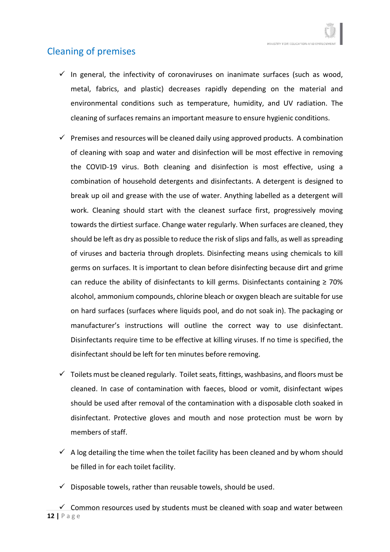# <span id="page-11-0"></span>Cleaning of premises

- $\checkmark$  In general, the infectivity of coronaviruses on inanimate surfaces (such as wood, metal, fabrics, and plastic) decreases rapidly depending on the material and environmental conditions such as temperature, humidity, and UV radiation. The cleaning of surfaces remains an important measure to ensure hygienic conditions.
- $\checkmark$  Premises and resources will be cleaned daily using approved products. A combination of cleaning with soap and water and disinfection will be most effective in removing the COVID-19 virus. Both cleaning and disinfection is most effective, using a combination of household detergents and disinfectants. A detergent is designed to break up oil and grease with the use of water. Anything labelled as a detergent will work. Cleaning should start with the cleanest surface first, progressively moving towards the dirtiest surface. Change water regularly. When surfaces are cleaned, they should be left as dry as possible to reduce the risk of slips and falls, as well as spreading of viruses and bacteria through droplets. Disinfecting means using chemicals to kill germs on surfaces. It is important to clean before disinfecting because dirt and grime can reduce the ability of disinfectants to kill germs. Disinfectants containing  $\geq 70\%$ alcohol, ammonium compounds, chlorine bleach or oxygen bleach are suitable for use on hard surfaces (surfaces where liquids pool, and do not soak in). The packaging or manufacturer's instructions will outline the correct way to use disinfectant. Disinfectants require time to be effective at killing viruses. If no time is specified, the disinfectant should be left for ten minutes before removing.
- $\checkmark$  Toilets must be cleaned regularly. Toilet seats, fittings, washbasins, and floors must be cleaned. In case of contamination with faeces, blood or vomit, disinfectant wipes should be used after removal of the contamination with a disposable cloth soaked in disinfectant. Protective gloves and mouth and nose protection must be worn by members of staff.
- $\checkmark$  A log detailing the time when the toilet facility has been cleaned and by whom should be filled in for each toilet facility.
- Disposable towels, rather than reusable towels, should be used.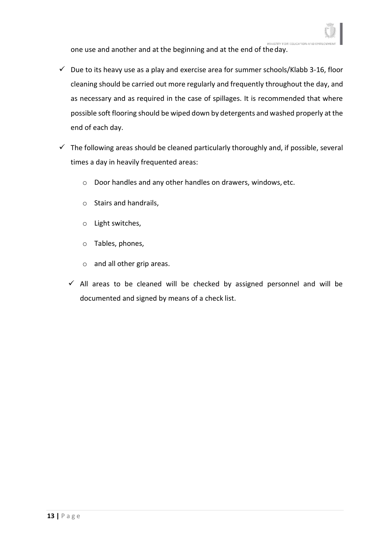one use and another and at the beginning and at the end of theday.

- $\checkmark$  Due to its heavy use as a play and exercise area for summer schools/Klabb 3-16, floor cleaning should be carried out more regularly and frequently throughout the day, and as necessary and as required in the case of spillages. It is recommended that where possible soft flooring should be wiped down by detergents and washed properly at the end of each day.
- $\checkmark$  The following areas should be cleaned particularly thoroughly and, if possible, several times a day in heavily frequented areas:
	- o Door handles and any other handles on drawers, windows, etc.
	- o Stairs and handrails,
	- o Light switches,
	- o Tables, phones,
	- o and all other grip areas.
	- $\checkmark$  All areas to be cleaned will be checked by assigned personnel and will be documented and signed by means of a check list.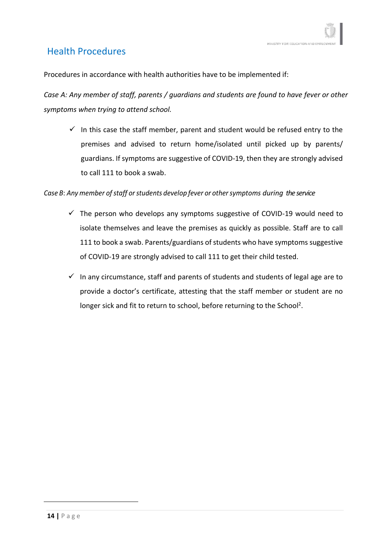## <span id="page-13-0"></span>Health Procedures

Procedures in accordance with health authorities have to be implemented if:

*Case A: Any member of staff, parents / guardians and students are found to have fever or other symptoms when trying to attend school.*

 $\checkmark$  In this case the staff member, parent and student would be refused entry to the premises and advised to return home/isolated until picked up by parents/ guardians. If symptoms are suggestive of COVID-19, then they are strongly advised to call 111 to book a swab.

#### *Case* B: Any member of staff or students develop fever or other symptoms during the service

- $\checkmark$  The person who develops any symptoms suggestive of COVID-19 would need to isolate themselves and leave the premises as quickly as possible. Staff are to call 111 to book a swab. Parents/guardians of students who have symptoms suggestive of COVID-19 are strongly advised to call 111 to get their child tested.
- <span id="page-13-1"></span> $\checkmark$  In any circumstance, staff and parents of students and students of legal age are to provide a doctor's certificate, attesting that the staff member or student are no longer sick and fit to return to school, before returning to the School<sup>2</sup>.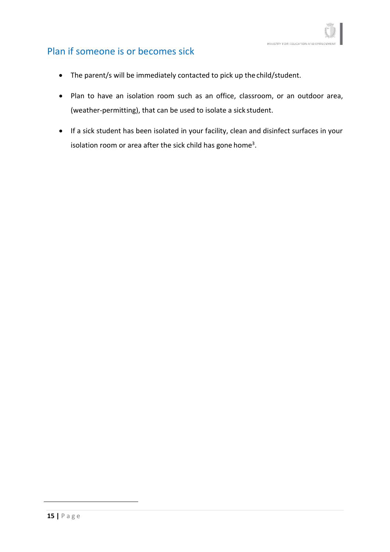## Plan if someone is or becomes sick

- The parent/s will be immediately contacted to pick up the child/student.
- Plan to have an isolation room such as an office, classroom, or an outdoor area, (weather-permitting), that can be used to isolate a sick student.
- If a sick student has been isolated in your facility, clean and disinfect surfaces in your isolation room or area after the sick child has gone home<sup>3</sup>.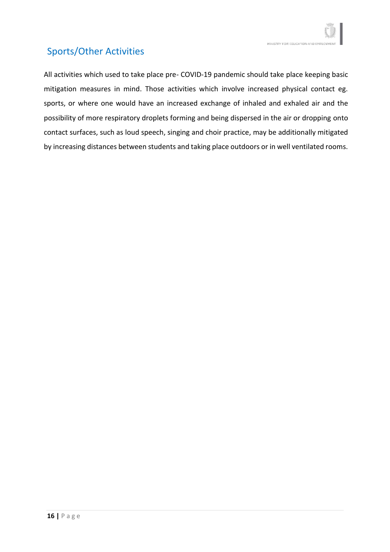# <span id="page-15-0"></span>Sports/Other Activities

<span id="page-15-1"></span>All activities which used to take place pre- COVID-19 pandemic should take place keeping basic mitigation measures in mind. Those activities which involve increased physical contact eg. sports, or where one would have an increased exchange of inhaled and exhaled air and the possibility of more respiratory droplets forming and being dispersed in the air or dropping onto contact surfaces, such as loud speech, singing and choir practice, may be additionally mitigated by increasing distances between students and taking place outdoors or in well ventilated rooms.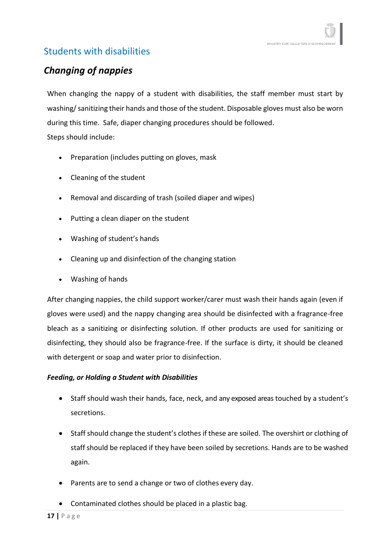# Students with disabilities

# *Changing of nappies*

When changing the nappy of a student with disabilities, the staff member must start by washing/sanitizing their hands and those of the student. Disposable gloves must also be worn during this time. Safe, diaper changing procedures should be followed. Steps should include:

- Preparation (includes putting on gloves, mask
- Cleaning of the student
- Removal and discarding of trash (soiled diaper and wipes)
- Putting a clean diaper on the student
- Washing of student's hands
- Cleaning up and disinfection of the changing station
- Washing of hands

After changing nappies, the child support worker/carer must wash their hands again (even if gloves were used) and the nappy changing area should be disinfected with a fragrance-free bleach as a sanitizing or disinfecting solution. If other products are used for sanitizing or disinfecting, they should also be fragrance-free. If the surface is dirty, it should be cleaned with detergent or soap and water prior to disinfection.

#### *Feeding, or Holding a Student with Disabilities*

- Staff should wash their hands, face, neck, and any exposed areas touched by a student's secretions.
- Staff should change the student's clothes if these are soiled. The overshirt or clothing of staff should be replaced if they have been soiled by secretions. Hands are to be washed again.
- Parents are to send a change or two of clothes every day.
- Contaminated clothes should be placed in a plastic bag.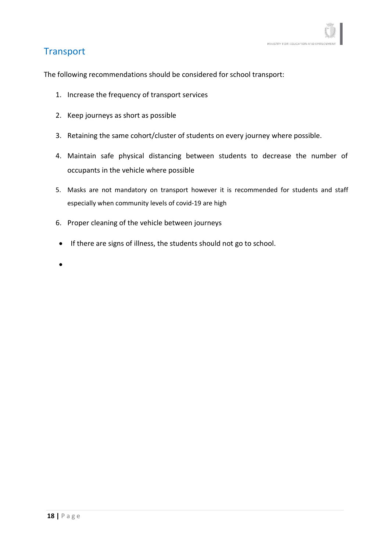### <span id="page-17-0"></span>**Transport**

The following recommendations should be considered for school transport:

- 1. Increase the frequency of transport services
- 2. Keep journeys as short as possible
- 3. Retaining the same cohort/cluster of students on every journey where possible.
- 4. Maintain safe physical distancing between students to decrease the number of occupants in the vehicle where possible
- 5. Masks are not mandatory on transport however it is recommended for students and staff especially when community levels of covid-19 are high
- 6. Proper cleaning of the vehicle between journeys
- If there are signs of illness, the students should not go to school.
- •